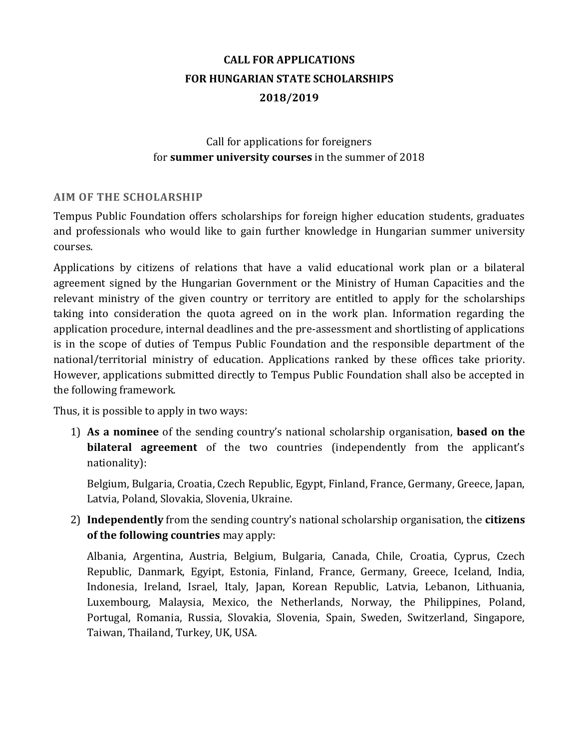# **CALL FOR APPLICATIONS FOR HUNGARIAN STATE SCHOLARSHIPS 2018/2019**

## Call for applications for foreigners for **summer university courses** in the summer of 2018

#### **AIM OF THE SCHOLARSHIP**

Tempus Public Foundation offers scholarships for foreign higher education students, graduates and professionals who would like to gain further knowledge in Hungarian summer university courses.

Applications by citizens of relations that have a valid educational work plan or a bilateral agreement signed by the Hungarian Government or the Ministry of Human Capacities and the relevant ministry of the given country or territory are entitled to apply for the scholarships taking into consideration the quota agreed on in the work plan. Information regarding the application procedure, internal deadlines and the pre-assessment and shortlisting of applications is in the scope of duties of Tempus Public Foundation and the responsible department of the national/territorial ministry of education. Applications ranked by these offices take priority. However, applications submitted directly to Tempus Public Foundation shall also be accepted in the following framework.

Thus, it is possible to apply in two ways:

1) **As a nominee** of the sending country's national scholarship organisation, **based on the bilateral agreement** of the two countries (independently from the applicant's nationality):

Belgium, Bulgaria, Croatia, Czech Republic, Egypt, Finland, France, Germany, Greece, Japan, Latvia, Poland, Slovakia, Slovenia, Ukraine.

2) **Independently** from the sending country's national scholarship organisation, the **citizens of the following countries** may apply:

Albania, Argentina, Austria, Belgium, Bulgaria, Canada, Chile, Croatia, Cyprus, Czech Republic, Danmark, Egyipt, Estonia, Finland, France, Germany, Greece, Iceland, India, Indonesia, Ireland, Israel, Italy, Japan, Korean Republic, Latvia, Lebanon, Lithuania, Luxembourg, Malaysia, Mexico, the Netherlands, Norway, the Philippines, Poland, Portugal, Romania, Russia, Slovakia, Slovenia, Spain, Sweden, Switzerland, Singapore, Taiwan, Thailand, Turkey, UK, USA.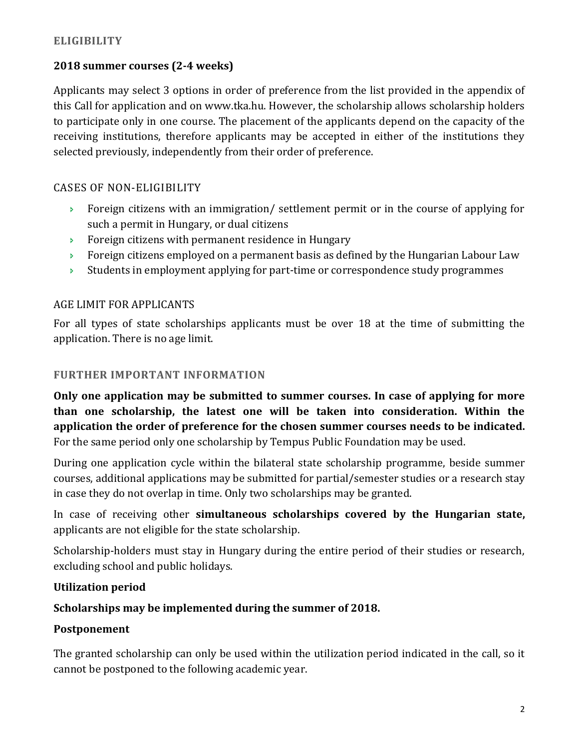## **ELIGIBILITY**

## **2018 summer courses (2-4 weeks)**

Applicants may select 3 options in order of preference from the list provided in the appendix of this Call for application and on www.tka.hu. However, the scholarship allows scholarship holders to participate only in one course. The placement of the applicants depend on the capacity of the receiving institutions, therefore applicants may be accepted in either of the institutions they selected previously, independently from their order of preference.

## CASES OF NON-ELIGIBILITY

- Foreign citizens with an immigration/ settlement permit or in the course of applying for such a permit in Hungary, or dual citizens
- Foreign citizens with permanent residence in Hungary
- **Foreign citizens employed on a permanent basis as defined by the Hungarian Labour Law**
- Students in employment applying for part-time or correspondence study programmes

## AGE LIMIT FOR APPLICANTS

For all types of state scholarships applicants must be over 18 at the time of submitting the application. There is no age limit.

## **FURTHER IMPORTANT INFORMATION**

**Only one application may be submitted to summer courses. In case of applying for more than one scholarship, the latest one will be taken into consideration. Within the application the order of preference for the chosen summer courses needs to be indicated.** For the same period only one scholarship by Tempus Public Foundation may be used.

During one application cycle within the bilateral state scholarship programme, beside summer courses, additional applications may be submitted for partial/semester studies or a research stay in case they do not overlap in time. Only two scholarships may be granted.

In case of receiving other **simultaneous scholarships covered by the Hungarian state,** applicants are not eligible for the state scholarship.

Scholarship-holders must stay in Hungary during the entire period of their studies or research, excluding school and public holidays.

## **Utilization period**

## **Scholarships may be implemented during the summer of 2018.**

## **Postponement**

The granted scholarship can only be used within the utilization period indicated in the call, so it cannot be postponed to the following academic year.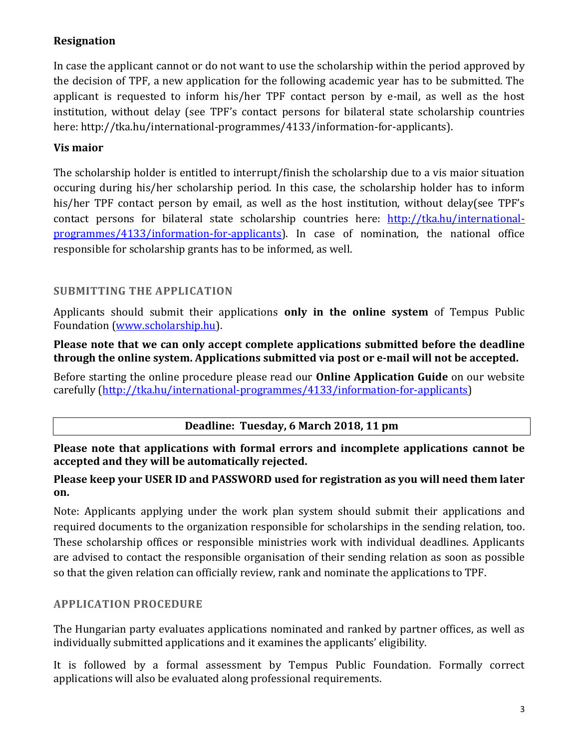# **Resignation**

In case the applicant cannot or do not want to use the scholarship within the period approved by the decision of TPF, a new application for the following academic year has to be submitted. The applicant is requested to inform his/her TPF contact person by e-mail, as well as the host institution, without delay (see TPF's contact persons for bilateral state scholarship countries here: http://tka.hu/international-programmes/4133/information-for-applicants).

## **Vis maior**

The scholarship holder is entitled to interrupt/finish the scholarship due to a vis maior situation occuring during his/her scholarship period. In this case, the scholarship holder has to inform his/her TPF contact person by email, as well as the host institution, without delay(see TPF's contact persons for bilateral state scholarship countries here: [http://tka.hu/international](http://tka.hu/international-programmes/4133/information-for-applicants)[programmes/4133/information-for-applicants\)](http://tka.hu/international-programmes/4133/information-for-applicants). In case of nomination, the national office responsible for scholarship grants has to be informed, as well.

## **SUBMITTING THE APPLICATION**

Applicants should submit their applications **only in the online system** of Tempus Public Foundation [\(www.scholarship.hu\)](http://www.scholarship.hu/).

#### **Please note that we can only accept complete applications submitted before the deadline through the online system. Applications submitted via post or e-mail will not be accepted.**

Before starting the online procedure please read our **Online Application Guide** on our website carefully [\(http://tka.hu/international-programmes/4133/information-for-applicants\)](http://tka.hu/international-programmes/4133/information-for-applicants)

## **Deadline: Tuesday, 6 March 2018, 11 pm**

**Please note that applications with formal errors and incomplete applications cannot be accepted and they will be automatically rejected.** 

## **Please keep your USER ID and PASSWORD used for registration as you will need them later on.**

Note: Applicants applying under the work plan system should submit their applications and required documents to the organization responsible for scholarships in the sending relation, too. These scholarship offices or responsible ministries work with individual deadlines. Applicants are advised to contact the responsible organisation of their sending relation as soon as possible so that the given relation can officially review, rank and nominate the applications to TPF.

## **APPLICATION PROCEDURE**

The Hungarian party evaluates applications nominated and ranked by partner offices, as well as individually submitted applications and it examines the applicants' eligibility.

It is followed by a formal assessment by Tempus Public Foundation. Formally correct applications will also be evaluated along professional requirements.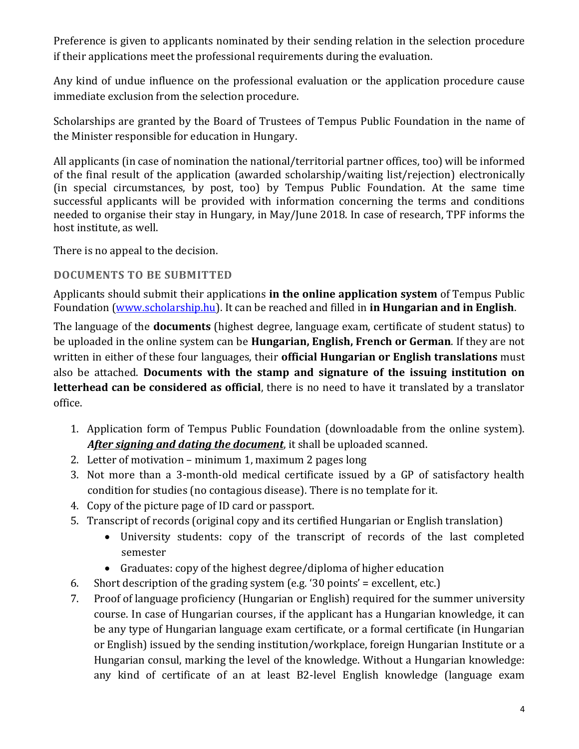Preference is given to applicants nominated by their sending relation in the selection procedure if their applications meet the professional requirements during the evaluation.

Any kind of undue influence on the professional evaluation or the application procedure cause immediate exclusion from the selection procedure.

Scholarships are granted by the Board of Trustees of Tempus Public Foundation in the name of the Minister responsible for education in Hungary.

All applicants (in case of nomination the national/territorial partner offices, too) will be informed of the final result of the application (awarded scholarship/waiting list/rejection) electronically (in special circumstances, by post, too) by Tempus Public Foundation. At the same time successful applicants will be provided with information concerning the terms and conditions needed to organise their stay in Hungary, in May/June 2018. In case of research, TPF informs the host institute, as well.

There is no appeal to the decision.

## **DOCUMENTS TO BE SUBMITTED**

Applicants should submit their applications **in the online application system** of Tempus Public Foundation [\(www.scholarship.hu\)](http://www.scholarship.hu/). It can be reached and filled in **in Hungarian and in English**.

The language of the **documents** (highest degree, language exam, certificate of student status) to be uploaded in the online system can be **Hungarian, English, French or German**. If they are not written in either of these four languages, their **official Hungarian or English translations** must also be attached. **Documents with the stamp and signature of the issuing institution on letterhead can be considered as official**, there is no need to have it translated by a translator office.

- 1. Application form of Tempus Public Foundation (downloadable from the online system). *After signing and dating the document*, it shall be uploaded scanned.
- 2. Letter of motivation minimum 1, maximum 2 pages long
- 3. Not more than a 3-month-old medical certificate issued by a GP of satisfactory health condition for studies (no contagious disease). There is no template for it.
- 4. Copy of the picture page of ID card or passport.
- 5. Transcript of records (original copy and its certified Hungarian or English translation)
	- University students: copy of the transcript of records of the last completed semester
	- Graduates: copy of the highest degree/diploma of higher education
- 6. Short description of the grading system (e.g. '30 points' = excellent, etc.)
- 7. Proof of language proficiency (Hungarian or English) required for the summer university course. In case of Hungarian courses, if the applicant has a Hungarian knowledge, it can be any type of Hungarian language exam certificate, or a formal certificate (in Hungarian or English) issued by the sending institution/workplace, foreign Hungarian Institute or a Hungarian consul, marking the level of the knowledge. Without a Hungarian knowledge: any kind of certificate of an at least B2-level English knowledge (language exam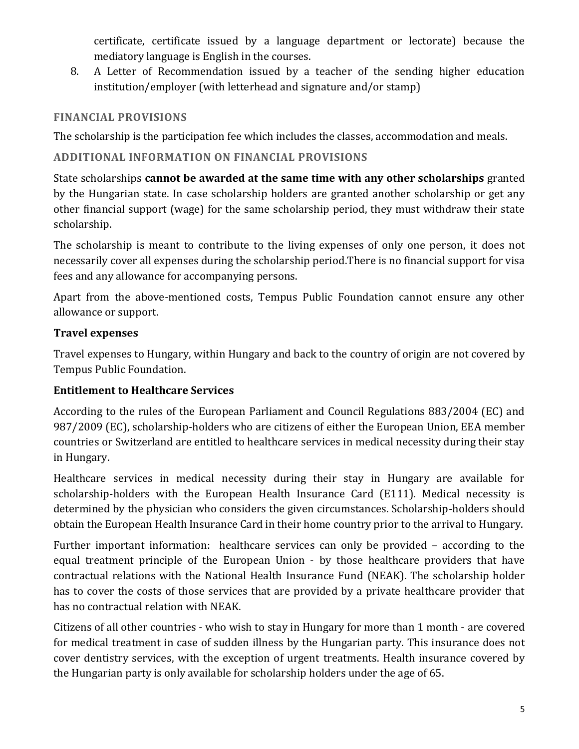certificate, certificate issued by a language department or lectorate) because the mediatory language is English in the courses.

8. A Letter of Recommendation issued by a teacher of the sending higher education institution/employer (with letterhead and signature and/or stamp)

## **FINANCIAL PROVISIONS**

The scholarship is the participation fee which includes the classes, accommodation and meals.

# **ADDITIONAL INFORMATION ON FINANCIAL PROVISIONS**

State scholarships **cannot be awarded at the same time with any other scholarships** granted by the Hungarian state. In case scholarship holders are granted another scholarship or get any other financial support (wage) for the same scholarship period, they must withdraw their state scholarship.

The scholarship is meant to contribute to the living expenses of only one person, it does not necessarily cover all expenses during the scholarship period.There is no financial support for visa fees and any allowance for accompanying persons.

Apart from the above-mentioned costs, Tempus Public Foundation cannot ensure any other allowance or support.

# **Travel expenses**

Travel expenses to Hungary, within Hungary and back to the country of origin are not covered by Tempus Public Foundation.

# **Entitlement to Healthcare Services**

According to the rules of the European Parliament and Council Regulations 883/2004 (EC) and 987/2009 (EC), scholarship-holders who are citizens of either the European Union, EEA member countries or Switzerland are entitled to healthcare services in medical necessity during their stay in Hungary.

Healthcare services in medical necessity during their stay in Hungary are available for scholarship-holders with the European Health Insurance Card (E111). Medical necessity is determined by the physician who considers the given circumstances. Scholarship-holders should obtain the European Health Insurance Card in their home country prior to the arrival to Hungary.

Further important information: healthcare services can only be provided – according to the equal treatment principle of the European Union - by those healthcare providers that have contractual relations with the National Health Insurance Fund (NEAK). The scholarship holder has to cover the costs of those services that are provided by a private healthcare provider that has no contractual relation with NEAK.

Citizens of all other countries - who wish to stay in Hungary for more than 1 month - are covered for medical treatment in case of sudden illness by the Hungarian party. This insurance does not cover dentistry services, with the exception of urgent treatments. Health insurance covered by the Hungarian party is only available for scholarship holders under the age of 65.